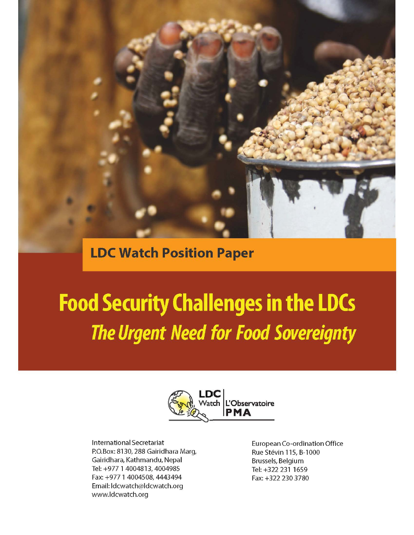**LDC Watch Position Paper** 

# **Food Security Challenges in the LDCs The Urgent Need for Food Sovereignty**



**International Secretariat** P.O.Box: 8130, 288 Gairidhara Marg, Gairidhara, Kathmandu, Nepal Tel: +977 1 4004813, 4004985 Fax: +977 1 4004508, 4443494 Email: Idcwatch@Idcwatch.org www.ldcwatch.org

European Co-ordination Office Rue Stévin 115, B-1000 Brussels, Belgium Tel: +322 231 1659 Fax: +322 230 3780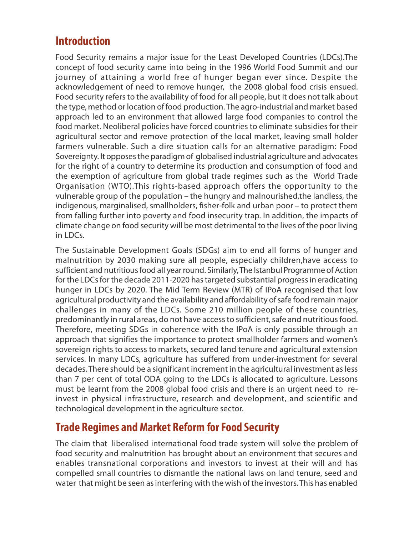# **Introduction**

Food Security remains a major issue for the Least Developed Countries (LDCs).The concept of food security came into being in the 1996 World Food Summit and our journey of attaining a world free of hunger began ever since. Despite the acknowledgement of need to remove hunger, the 2008 global food crisis ensued. Food security refers to the availability of food for all people, but it does not talk about the type, method or location of food production. The agro-industrial and market based approach led to an environment that allowed large food companies to control the food market. Neoliberal policies have forced countries to eliminate subsidies for their agricultural sector and remove protection of the local market, leaving small holder farmers vulnerable. Such a dire situation calls for an alternative paradigm: Food Sovereignty. It opposes the paradigm of globalised industrial agriculture and advocates for the right of a country to determine its production and consumption of food and the exemption of agriculture from global trade regimes such as the World Trade Organisation (WTO).This rights-based approach offers the opportunity to the vulnerable group of the population – the hungry and malnourished,the landless, the indigenous, marginalised, smallholders, fisher-folk and urban poor – to protect them from falling further into poverty and food insecurity trap. In addition, the impacts of climate change on food security will be most detrimental to the lives of the poor living in LDCs.

The Sustainable Development Goals (SDGs) aim to end all forms of hunger and malnutrition by 2030 making sure all people, especially children,have access to sufficient and nutritious food all year round. Similarly, The Istanbul Programme of Action for the LDCs for the decade 2011-2020 has targeted substantial progress in eradicating hunger in LDCs by 2020. The Mid Term Review (MTR) of IPoA recognised that low agricultural productivity and the availability and affordability of safe food remain major challenges in many of the LDCs. Some 210 million people of these countries, predominantly in rural areas, do not have access to sufficient, safe and nutritious food. Therefore, meeting SDGs in coherence with the IPoA is only possible through an approach that signifies the importance to protect smallholder farmers and women's sovereign rights to access to markets, secured land tenure and agricultural extension services. In many LDCs, agriculture has suffered from under-investment for several decades. There should be a significant increment in the agricultural investment as less than 7 per cent of total ODA going to the LDCs is allocated to agriculture. Lessons must be learnt from the 2008 global food crisis and there is an urgent need to reinvest in physical infrastructure, research and development, and scientific and technological development in the agriculture sector.

## **Trade Regimes and Market Reform for Food Security**

The claim that liberalised international food trade system will solve the problem of food security and malnutrition has brought about an environment that secures and enables transnational corporations and investors to invest at their will and has compelled small countries to dismantle the national laws on land tenure, seed and water that might be seen as interfering with the wish of the investors. This has enabled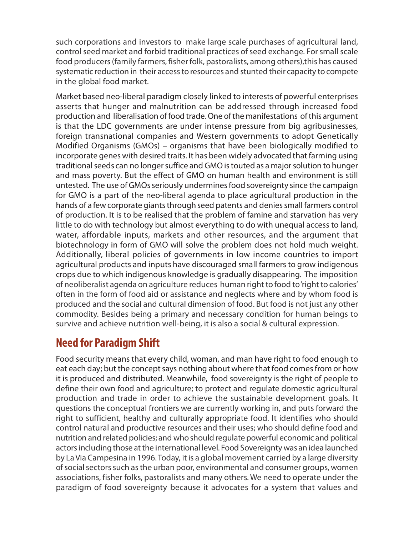such corporations and investors to make large scale purchases of agricultural land, control seed market and forbid traditional practices of seed exchange. For small scale food producers (family farmers, fisher folk, pastoralists, among others),this has caused systematic reduction in their access to resources and stunted their capacity to compete in the global food market.

Market based neo-liberal paradigm closely linked to interests of powerful enterprises asserts that hunger and malnutrition can be addressed through increased food production and liberalisation of food trade. One of the manifestations of this argument is that the LDC governments are under intense pressure from big agribusinesses, foreign transnational companies and Western governments to adopt Genetically Modified Organisms (GMOs) – organisms that have been biologically modified to incorporate genes with desired traits. It has been widely advocated that farming using traditional seeds can no longer suffice and GMO is touted as a major solution to hunger and mass poverty. But the effect of GMO on human health and environment is still untested. The use of GMOs seriously undermines food sovereignty since the campaign for GMO is a part of the neo-liberal agenda to place agricultural production in the hands of a few corporate giants through seed patents and denies small farmers control of production. It is to be realised that the problem of famine and starvation has very little to do with technology but almost everything to do with unequal access to land, water, affordable inputs, markets and other resources, and the argument that biotechnology in form of GMO will solve the problem does not hold much weight. Additionally, liberal policies of governments in low income countries to import agricultural products and inputs have discouraged small farmers to grow indigenous crops due to which indigenous knowledge is gradually disappearing. The imposition of neoliberalist agenda on agriculture reduces human right to food to 'right to calories' often in the form of food aid or assistance and neglects where and by whom food is produced and the social and cultural dimension of food. But food is not just any other commodity. Besides being a primary and necessary condition for human beings to survive and achieve nutrition well-being, it is also a social & cultural expression.

## **Need for Paradigm Shift**

Food security means that every child, woman, and man have right to food enough to eat each day; but the concept says nothing about where that food comes from or how it is produced and distributed. Meanwhile, food sovereignty is the right of people to define their own food and agriculture; to protect and regulate domestic agricultural production and trade in order to achieve the sustainable development goals. It questions the conceptual frontiers we are currently working in, and puts forward the right to sufficient, healthy and culturally appropriate food. It identifies who should control natural and productive resources and their uses; who should define food and nutrition and related policies; and who should regulate powerful economic and political actors including those at the international level. Food Sovereignty was an idea launched by La Via Campesina in 1996. Today, it is a global movement carried by a large diversity of social sectors such as the urban poor, environmental and consumer groups, women associations, fisher folks, pastoralists and many others. We need to operate under the paradigm of food sovereignty because it advocates for a system that values and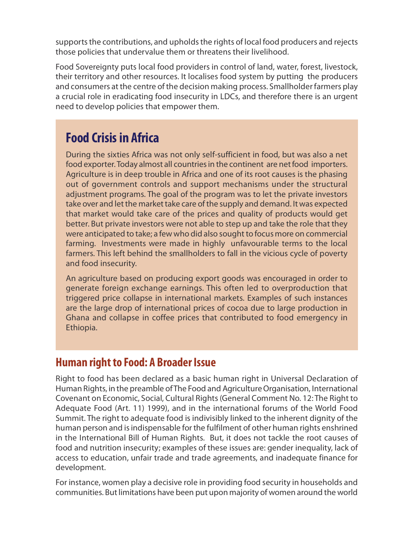supports the contributions, and upholds the rights of local food producers and rejects those policies that undervalue them or threatens their livelihood.

Food Sovereignty puts local food providers in control of land, water, forest, livestock, their territory and other resources. It localises food system by putting the producers and consumers at the centre of the decision making process. Smallholder farmers play a crucial role in eradicating food insecurity in LDCs, and therefore there is an urgent need to develop policies that empower them.

# **Food Crisis in Africa**

During the sixties Africa was not only self-sufficient in food, but was also a net food exporter. Today almost all countries in the continent are net food importers. Agriculture is in deep trouble in Africa and one of its root causes is the phasing out of government controls and support mechanisms under the structural adjustment programs. The goal of the program was to let the private investors take over and let the market take care of the supply and demand. It was expected that market would take care of the prices and quality of products would get better. But private investors were not able to step up and take the role that they were anticipated to take; a few who did also sought to focus more on commercial farming. Investments were made in highly unfavourable terms to the local farmers. This left behind the smallholders to fall in the vicious cycle of poverty and food insecurity.

An agriculture based on producing export goods was encouraged in order to generate foreign exchange earnings. This often led to overproduction that triggered price collapse in international markets. Examples of such instances are the large drop of international prices of cocoa due to large production in Ghana and collapse in coffee prices that contributed to food emergency in Ethiopia.

#### **Human right to Food: A Broader Issue**

Right to food has been declared as a basic human right in Universal Declaration of Human Rights, in the preamble of The Food and Agriculture Organisation, International Covenant on Economic, Social, Cultural Rights (General Comment No. 12: The Right to Adequate Food (Art. 11) 1999), and in the international forums of the World Food Summit. The right to adequate food is indivisibly linked to the inherent dignity of the human person and is indispensable for the fulfilment of other human rights enshrined in the International Bill of Human Rights. But, it does not tackle the root causes of food and nutrition insecurity; examples of these issues are: gender inequality, lack of access to education, unfair trade and trade agreements, and inadequate finance for development.

For instance, women play a decisive role in providing food security in households and communities. But limitations have been put upon majority of women around the world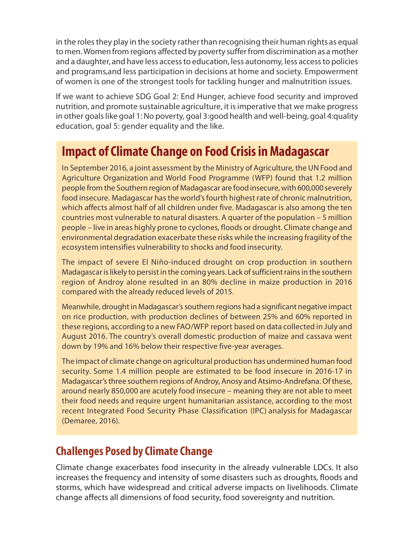in the roles they play in the society rather than recognising their human rights as equal to men. Women from regions affected by poverty suffer from discrimination as a mother and a daughter, and have less access to education, less autonomy, less access to policies and programs,and less participation in decisions at home and society. Empowerment of women is one of the strongest tools for tackling hunger and malnutrition issues.

If we want to achieve SDG Goal 2: End Hunger, achieve food security and improved nutrition, and promote sustainable agriculture, it is imperative that we make progress in other goals like goal 1: No poverty, goal 3:good health and well-being, goal 4:quality education, goal 5: gender equality and the like.

# **Impact of Climate Change on Food Crisis in Madagascar**

In September 2016, a joint assessment by the Ministry of Agriculture, the UN Food and Agriculture Organization and World Food Programme (WFP) found that 1.2 million people from the Southern region of Madagascar are food insecure, with 600,000 severely food insecure. Madagascar has the world's fourth highest rate of chronic malnutrition, which affects almost half of all children under five. Madagascar is also among the ten countries most vulnerable to natural disasters. A quarter of the population – 5 million people – live in areas highly prone to cyclones, floods or drought. Climate change and environmental degradation exacerbate these risks while the increasing fragility of the ecosystem intensifies vulnerability to shocks and food insecurity.

The impact of severe El Niño-induced drought on crop production in southern Madagascar is likely to persist in the coming years. Lack of sufficient rains in the southern region of Androy alone resulted in an 80% decline in maize production in 2016 compared with the already reduced levels of 2015.

Meanwhile, drought in Madagascar's southern regions had a significant negative impact on rice production, with production declines of between 25% and 60% reported in these regions, according to a new FAO/WFP report based on data collected in July and August 2016. The country's overall domestic production of maize and cassava went down by 19% and 16% below their respective five-year averages.

The impact of climate change on agricultural production has undermined human food security. Some 1.4 million people are estimated to be food insecure in 2016-17 in Madagascar's three southern regions of Androy, Anosy and Atsimo-Andrefana. Of these, around nearly 850,000 are acutely food insecure – meaning they are not able to meet their food needs and require urgent humanitarian assistance, according to the most recent Integrated Food Security Phase Classification (IPC) analysis for Madagascar (Demaree, 2016).

## **Challenges Posed by Climate Change**

Climate change exacerbates food insecurity in the already vulnerable LDCs. It also increases the frequency and intensity of some disasters such as droughts, floods and storms, which have widespread and critical adverse impacts on livelihoods. Climate change affects all dimensions of food security, food sovereignty and nutrition.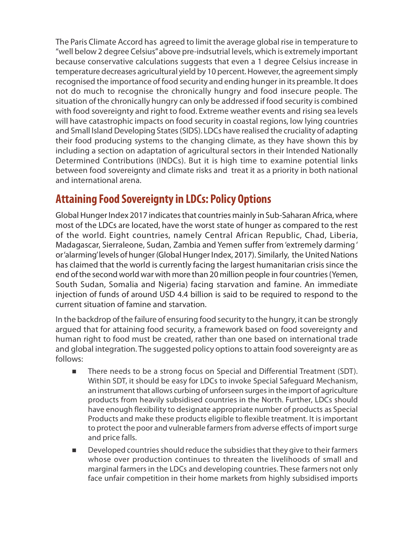The Paris Climate Accord has agreed to limit the average global rise in temperature to "well below 2 degree Celsius" above pre-indsutrial levels, which is extremely important because conservative calculations suggests that even a 1 degree Celsius increase in temperature decreases agricultural yield by 10 percent. However, the agreement simply recognised the importance of food security and ending hunger in its preamble. It does not do much to recognise the chronically hungry and food insecure people. The situation of the chronically hungry can only be addressed if food security is combined with food sovereignty and right to food. Extreme weather events and rising sea levels will have catastrophic impacts on food security in coastal regions, low lying countries and Small Island Developing States (SIDS). LDCs have realised the cruciality of adapting their food producing systems to the changing climate, as they have shown this by including a section on adaptation of agricultural sectors in their Intended Nationally Determined Contributions (INDCs). But it is high time to examine potential links between food sovereignty and climate risks and treat it as a priority in both national and international arena.

## **Attaining Food Sovereignty in LDCs: Policy Options**

Global Hunger Index 2017 indicates that countries mainly in Sub-Saharan Africa, where most of the LDCs are located, have the worst state of hunger as compared to the rest of the world. Eight countries, namely Central African Republic, Chad, Liberia, Madagascar, Sierraleone, Sudan, Zambia and Yemen suffer from 'extremely darming ' or 'alarming' levels of hunger (Global Hunger Index, 2017). Similarly, the United Nations has claimed that the world is currently facing the largest humanitarian crisis since the end of the second world war with more than 20 million people in four countries (Yemen, South Sudan, Somalia and Nigeria) facing starvation and famine. An immediate injection of funds of around USD 4.4 billion is said to be required to respond to the current situation of famine and starvation.

In the backdrop of the failure of ensuring food security to the hungry, it can be strongly argued that for attaining food security, a framework based on food sovereignty and human right to food must be created, rather than one based on international trade and global integration. The suggested policy options to attain food sovereignty are as follows:

- There needs to be a strong focus on Special and Differential Treatment (SDT). Within SDT, it should be easy for LDCs to invoke Special Safeguard Mechanism, an instrument that allows curbing of unforseen surges in the import of agriculture products from heavily subsidised countries in the North. Further, LDCs should have enough flexibility to designate appropriate number of products as Special Products and make these products eligible to flexible treatment. It is important to protect the poor and vulnerable farmers from adverse effects of import surge and price falls.
- Developed countries should reduce the subsidies that they give to their farmers whose over production continues to threaten the livelihoods of small and marginal farmers in the LDCs and developing countries. These farmers not only face unfair competition in their home markets from highly subsidised imports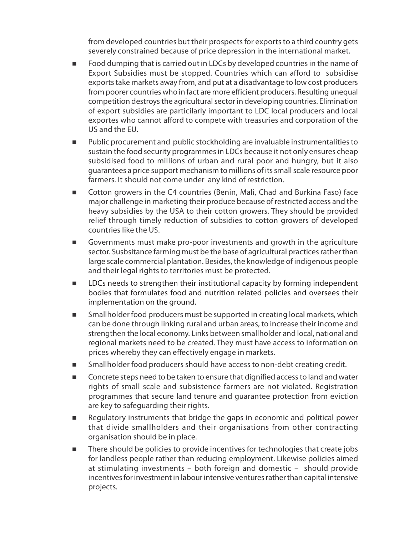from developed countries but their prospects for exports to a third country gets severely constrained because of price depression in the international market.

- Food dumping that is carried out in LDCs by developed countries in the name of Export Subsidies must be stopped. Countries which can afford to subsidise exports take markets away from, and put at a disadvantage to low cost producers from poorer countries who in fact are more efficient producers. Resulting unequal competition destroys the agricultural sector in developing countries. Elimination of export subsidies are particilarly important to LDC local producers and local exportes who cannot afford to compete with treasuries and corporation of the US and the EU.
- Public procurement and public stockholding are invaluable instrumentalities to sustain the food security programmes in LDCs because it not only ensures cheap subsidised food to millions of urban and rural poor and hungry, but it also guarantees a price support mechanism to millions of its small scale resource poor farmers. It should not come under any kind of restriction.
- Cotton growers in the C4 countries (Benin, Mali, Chad and Burkina Faso) face major challenge in marketing their produce because of restricted access and the heavy subsidies by the USA to their cotton growers. They should be provided relief through timely reduction of subsidies to cotton growers of developed countries like the US.
- Governments must make pro-poor investments and growth in the agriculture sector. Susbsitance farming must be the base of agricultural practices rather than large scale commercial plantation. Besides, the knowledge of indigenous people and their legal rights to territories must be protected.
- **EXEC** DUCs needs to strengthen their institutional capacity by forming independent bodies that formulates food and nutrition related policies and oversees their implementation on the ground.
- **Smallholder food producers must be supported in creating local markets, which** can be done through linking rural and urban areas, to increase their income and strengthen the local economy. Links between smallholder and local, national and regional markets need to be created. They must have access to information on prices whereby they can effectively engage in markets.
- Smallholder food producers should have access to non-debt creating credit.
- Concrete steps need to be taken to ensure that dignified access to land and water rights of small scale and subsistence farmers are not violated. Registration programmes that secure land tenure and guarantee protection from eviction are key to safeguarding their rights.
- Regulatory instruments that bridge the gaps in economic and political power that divide smallholders and their organisations from other contracting organisation should be in place.
- There should be policies to provide incentives for technologies that create jobs for landless people rather than reducing employment. Likewise policies aimed at stimulating investments – both foreign and domestic – should provide incentives for investment in labour intensive ventures rather than capital intensive projects.